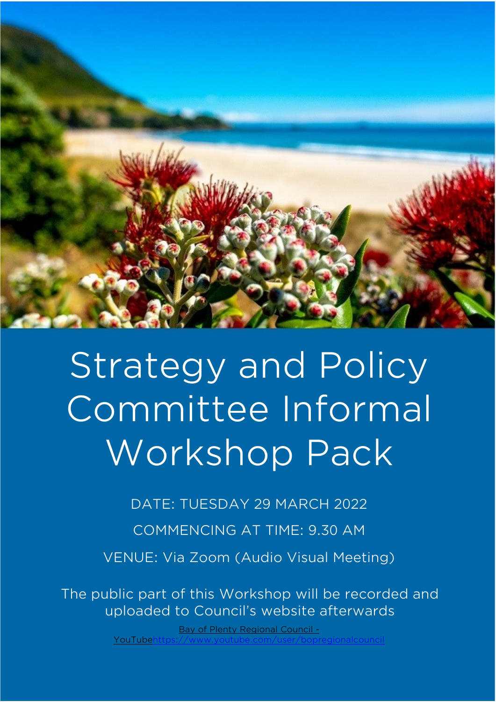

# Strategy and Policy Committee Informal Workshop Pack

DATE: TUESDAY 29 MARCH 2022

COMMENCING AT TIME: 9.30 AM

VENUE: Via Zoom (Audio Visual Meeting)

The public part of this Workshop will be recorded and uploaded to Council's website afterwards

> [Bay of Plenty Regional Council -](https://www.youtube.com/user/bopregionalcouncil) YouTube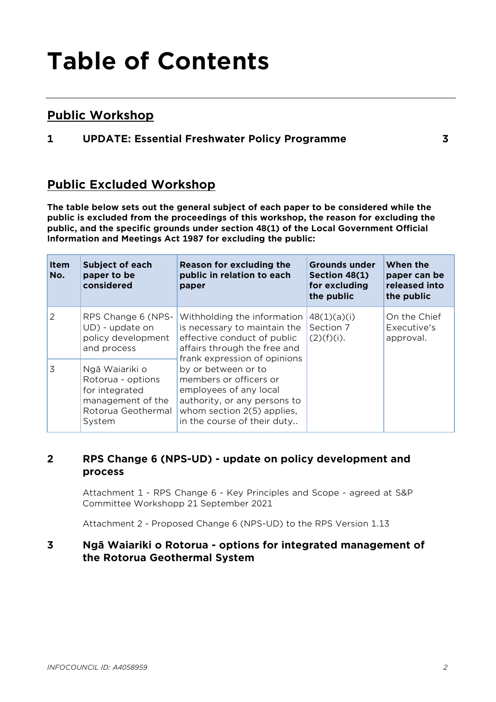## **Table of Contents**

#### **Public Workshop**

#### **1 UPDATE: Essential Freshwater Policy Programme 3**

#### **Public Excluded Workshop**

**The table below sets out the general subject of each paper to be considered while the public is excluded from the proceedings of this workshop, the reason for excluding the public, and the specific grounds under section 48(1) of the Local Government Official Information and Meetings Act 1987 for excluding the public:**

| <b>Item</b><br>No. | <b>Subject of each</b><br>paper to be<br>considered                                                        | Reason for excluding the<br>public in relation to each<br>paper                                                                                                                                                                                                                                                                    | <b>Grounds under</b><br>Section 48(1)<br>for excluding<br>the public | When the<br>paper can be<br>released into<br>the public |
|--------------------|------------------------------------------------------------------------------------------------------------|------------------------------------------------------------------------------------------------------------------------------------------------------------------------------------------------------------------------------------------------------------------------------------------------------------------------------------|----------------------------------------------------------------------|---------------------------------------------------------|
| 2                  | RPS Change 6 (NPS-<br>UD) - update on<br>policy development<br>and process                                 | Withholding the information<br>is necessary to maintain the<br>effective conduct of public<br>affairs through the free and<br>frank expression of opinions<br>by or between or to<br>members or officers or<br>employees of any local<br>authority, or any persons to<br>whom section 2(5) applies,<br>in the course of their duty | 48(1)(a)(i)<br>Section 7<br>$(2)(f)(i)$ .                            | On the Chief<br>Executive's<br>approval.                |
| 3                  | Ngā Waiariki o<br>Rotorua - options<br>for integrated<br>management of the<br>Rotorua Geothermal<br>System |                                                                                                                                                                                                                                                                                                                                    |                                                                      |                                                         |

#### **2 RPS Change 6 (NPS-UD) - update on policy development and process**

Attachment 1 - RPS Change 6 - Key Principles and Scope - agreed at S&P Committee Workshopp 21 September 2021

Attachment 2 - Proposed Change 6 (NPS-UD) to the RPS Version 1.13

#### **3 Ngā Waiariki o Rotorua - options for integrated management of the Rotorua Geothermal System**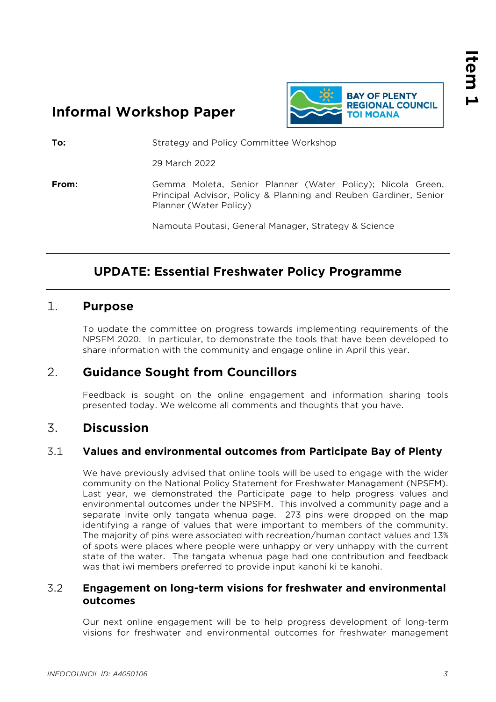### **Informal Workshop Paper**



**To:** Strategy and Policy Committee Workshop

29 March 2022

**From:** Gemma Moleta, Senior Planner (Water Policy); Nicola Green, Principal Advisor, Policy & Planning and Reuben Gardiner, Senior Planner (Water Policy)

Namouta Poutasi, General Manager, Strategy & Science

#### **UPDATE: Essential Freshwater Policy Programme**

#### 1. **Purpose**

To update the committee on progress towards implementing requirements of the NPSFM 2020. In particular, to demonstrate the tools that have been developed to share information with the community and engage online in April this year.

#### 2. **Guidance Sought from Councillors**

Feedback is sought on the online engagement and information sharing tools presented today. We welcome all comments and thoughts that you have.

#### 3. **Discussion**

#### 3.1 **Values and environmental outcomes from Participate Bay of Plenty**

We have previously advised that online tools will be used to engage with the wider community on the National Policy Statement for Freshwater Management (NPSFM). Last year, we demonstrated the Participate page to help progress values and environmental outcomes under the NPSFM. This involved a community page and a separate invite only tangata whenua page. 273 pins were dropped on the map identifying a range of values that were important to members of the community. The majority of pins were associated with recreation/human contact values and 13% of spots were places where people were unhappy or very unhappy with the current state of the water. The tangata whenua page had one contribution and feedback was that iwi members preferred to provide input kanohi ki te kanohi.

#### 3.2 **Engagement on long-term visions for freshwater and environmental outcomes**

Our next online engagement will be to help progress development of long-term visions for freshwater and environmental outcomes for freshwater management